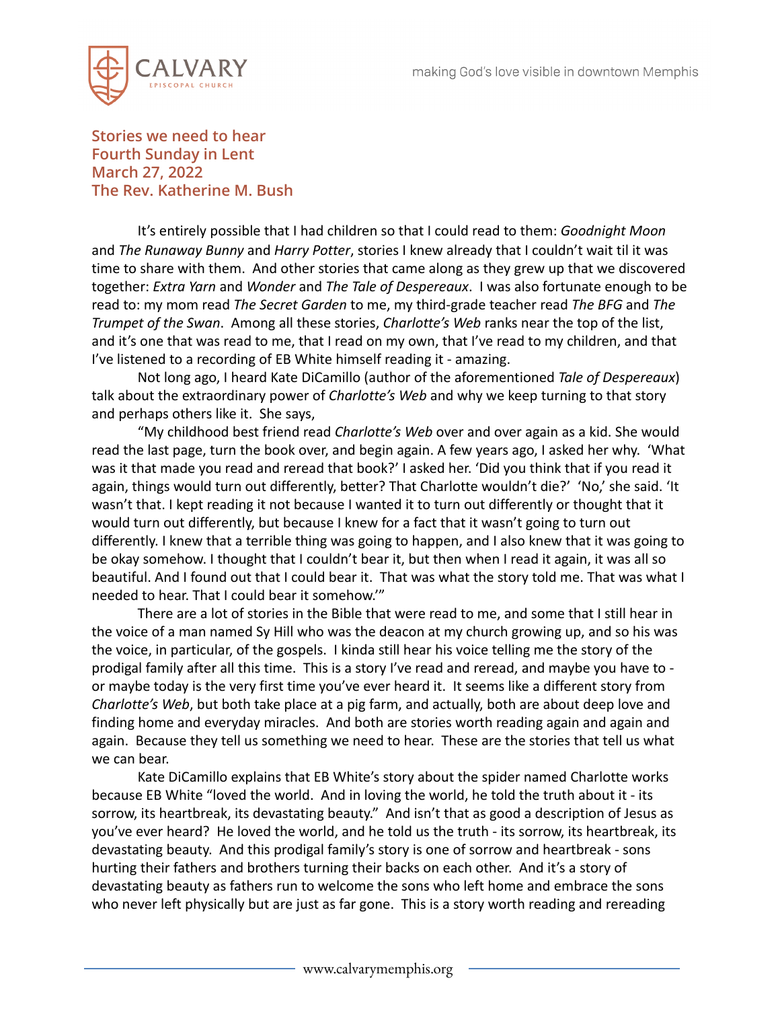

**Stories we need to hear Fourth Sunday in Lent March 27, 2022 The Rev. Katherine M. Bush**

It's entirely possible that I had children so that I could read to them: *Goodnight Moon* and *The Runaway Bunny* and *Harry Potter*, stories I knew already that I couldn't wait til it was time to share with them. And other stories that came along as they grew up that we discovered together: *Extra Yarn* and *Wonder* and *The Tale of Despereaux*. I was also fortunate enough to be read to: my mom read *The Secret Garden* to me, my third-grade teacher read *The BFG* and *The Trumpet of the Swan*. Among all these stories, *Charlotte's Web* ranks near the top of the list, and it's one that was read to me, that I read on my own, that I've read to my children, and that I've listened to a recording of EB White himself reading it - amazing.

Not long ago, I heard Kate DiCamillo (author of the aforementioned *Tale of Despereaux*) talk about the extraordinary power of *Charlotte's Web* and why we keep turning to that story and perhaps others like it. She says,

"My childhood best friend read *Charlotte's Web* over and over again as a kid. She would read the last page, turn the book over, and begin again. A few years ago, I asked her why. 'What was it that made you read and reread that book?' I asked her. 'Did you think that if you read it again, things would turn out differently, better? That Charlotte wouldn't die?' 'No,' she said. 'It wasn't that. I kept reading it not because I wanted it to turn out differently or thought that it would turn out differently, but because I knew for a fact that it wasn't going to turn out differently. I knew that a terrible thing was going to happen, and I also knew that it was going to be okay somehow. I thought that I couldn't bear it, but then when I read it again, it was all so beautiful. And I found out that I could bear it. That was what the story told me. That was what I needed to hear. That I could bear it somehow.'"

There are a lot of stories in the Bible that were read to me, and some that I still hear in the voice of a man named Sy Hill who was the deacon at my church growing up, and so his was the voice, in particular, of the gospels. I kinda still hear his voice telling me the story of the prodigal family after all this time. This is a story I've read and reread, and maybe you have to or maybe today is the very first time you've ever heard it. It seems like a different story from *Charlotte's Web*, but both take place at a pig farm, and actually, both are about deep love and finding home and everyday miracles. And both are stories worth reading again and again and again. Because they tell us something we need to hear. These are the stories that tell us what we can bear.

Kate DiCamillo explains that EB White's story about the spider named Charlotte works because EB White "loved the world. And in loving the world, he told the truth about it - its sorrow, its heartbreak, its devastating beauty." And isn't that as good a description of Jesus as you've ever heard? He loved the world, and he told us the truth - its sorrow, its heartbreak, its devastating beauty. And this prodigal family's story is one of sorrow and heartbreak - sons hurting their fathers and brothers turning their backs on each other. And it's a story of devastating beauty as fathers run to welcome the sons who left home and embrace the sons who never left physically but are just as far gone. This is a story worth reading and rereading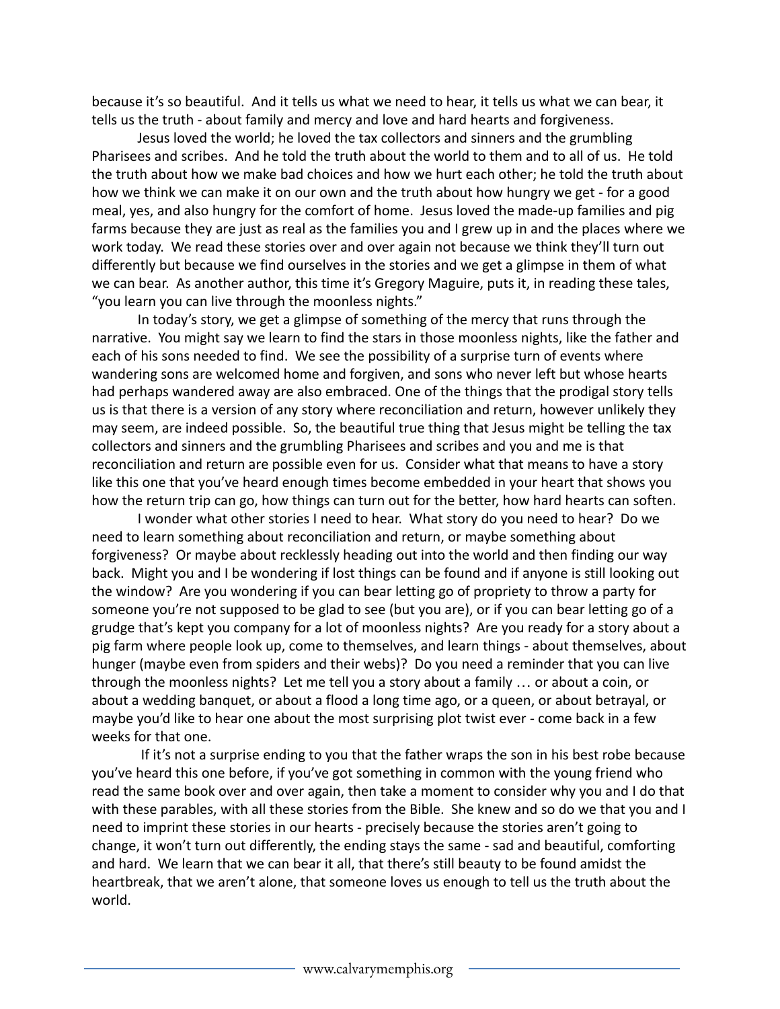because it's so beautiful. And it tells us what we need to hear, it tells us what we can bear, it tells us the truth - about family and mercy and love and hard hearts and forgiveness.

Jesus loved the world; he loved the tax collectors and sinners and the grumbling Pharisees and scribes. And he told the truth about the world to them and to all of us. He told the truth about how we make bad choices and how we hurt each other; he told the truth about how we think we can make it on our own and the truth about how hungry we get - for a good meal, yes, and also hungry for the comfort of home. Jesus loved the made-up families and pig farms because they are just as real as the families you and I grew up in and the places where we work today. We read these stories over and over again not because we think they'll turn out differently but because we find ourselves in the stories and we get a glimpse in them of what we can bear. As another author, this time it's Gregory Maguire, puts it, in reading these tales, "you learn you can live through the moonless nights."

In today's story, we get a glimpse of something of the mercy that runs through the narrative. You might say we learn to find the stars in those moonless nights, like the father and each of his sons needed to find. We see the possibility of a surprise turn of events where wandering sons are welcomed home and forgiven, and sons who never left but whose hearts had perhaps wandered away are also embraced. One of the things that the prodigal story tells us is that there is a version of any story where reconciliation and return, however unlikely they may seem, are indeed possible. So, the beautiful true thing that Jesus might be telling the tax collectors and sinners and the grumbling Pharisees and scribes and you and me is that reconciliation and return are possible even for us. Consider what that means to have a story like this one that you've heard enough times become embedded in your heart that shows you how the return trip can go, how things can turn out for the better, how hard hearts can soften.

I wonder what other stories I need to hear. What story do you need to hear? Do we need to learn something about reconciliation and return, or maybe something about forgiveness? Or maybe about recklessly heading out into the world and then finding our way back. Might you and I be wondering if lost things can be found and if anyone is still looking out the window? Are you wondering if you can bear letting go of propriety to throw a party for someone you're not supposed to be glad to see (but you are), or if you can bear letting go of a grudge that's kept you company for a lot of moonless nights? Are you ready for a story about a pig farm where people look up, come to themselves, and learn things - about themselves, about hunger (maybe even from spiders and their webs)? Do you need a reminder that you can live through the moonless nights? Let me tell you a story about a family … or about a coin, or about a wedding banquet, or about a flood a long time ago, or a queen, or about betrayal, or maybe you'd like to hear one about the most surprising plot twist ever - come back in a few weeks for that one.

If it's not a surprise ending to you that the father wraps the son in his best robe because you've heard this one before, if you've got something in common with the young friend who read the same book over and over again, then take a moment to consider why you and I do that with these parables, with all these stories from the Bible. She knew and so do we that you and I need to imprint these stories in our hearts - precisely because the stories aren't going to change, it won't turn out differently, the ending stays the same - sad and beautiful, comforting and hard. We learn that we can bear it all, that there's still beauty to be found amidst the heartbreak, that we aren't alone, that someone loves us enough to tell us the truth about the world.